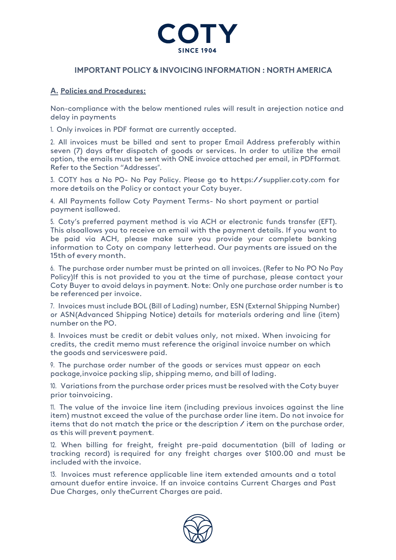

## **IMPORTANT POLICY & INVOICING INFORMATION : NORTH AMERICA**

## **A. Policies and Procedures:**

Non-compliance with the below mentioned rules will result in arejection notice and delay in payments

1. Only invoices in PDF format are currently accepted.

2. All invoices must be billed and sent to proper Email Address preferably within seven (7) days after dispatch of goods or services. In order to utilize the email option, the emails must be sent with ONE invoice attached per email, in PDFformat. Refer to the Section "Addresses".

3. COTY has <sup>a</sup> No PO- No Pay Policy. Please go to https://supplier.coty.com for more details on the Policy or contact your Coty buyer.

4. All Payments follow Coty Payment Terms- No short payment or partial payment isallowed.

5. Coty's preferred payment method is via ACH or electronic funds transfer (EFT). This alsoallows you to receive an email with the payment details. If you want to be paid via ACH, please make sure you provide your complete banking information to Coty on company letterhead. Our payments are issued on the 15th of every month.

6. The purchase order number must be printed on all invoices. (Refer to No PO No Pay Policy)If this is not provided to you at the time of purchase, please contact your Coty Buyer to avoid delays in payment. Note: Only one purchase order number is to be referenced per invoice.

7. Invoices must include BOL (Bill of Lading) number, ESN (External Shipping Number) or ASN(Advanced Shipping Notice) details for materials ordering and line (item) number on the PO.

8. Invoices must be credit or debit values only, not mixed. When invoicing for credits, the credit memo must reference the original invoice number on which the goods and serviceswere paid.

9. The purchase order number of the goods or services must appear on each package,invoice packing slip, shipping memo, and bill of lading.

10. Variations from the purchase order prices must be resolved with the Coty buyer prior toinvoicing.

11. The value of the invoice line item (including previous invoices against the line item) mustnot exceed the value of the purchase order line item. Do not invoice for items that do not match the price or the description / item on the purchase order, as this will prevent payment.

12. When billing for freight, freight pre-paid documentation (bill of lading or tracking record) is required for any freight charges over \$100.00 and must be included with the invoice.

13. Invoices must reference applicable line item extended amounts and a total amount duefor entire invoice. If an invoice contains Current Charges and Past Due Charges, only theCurrent Charges are paid.